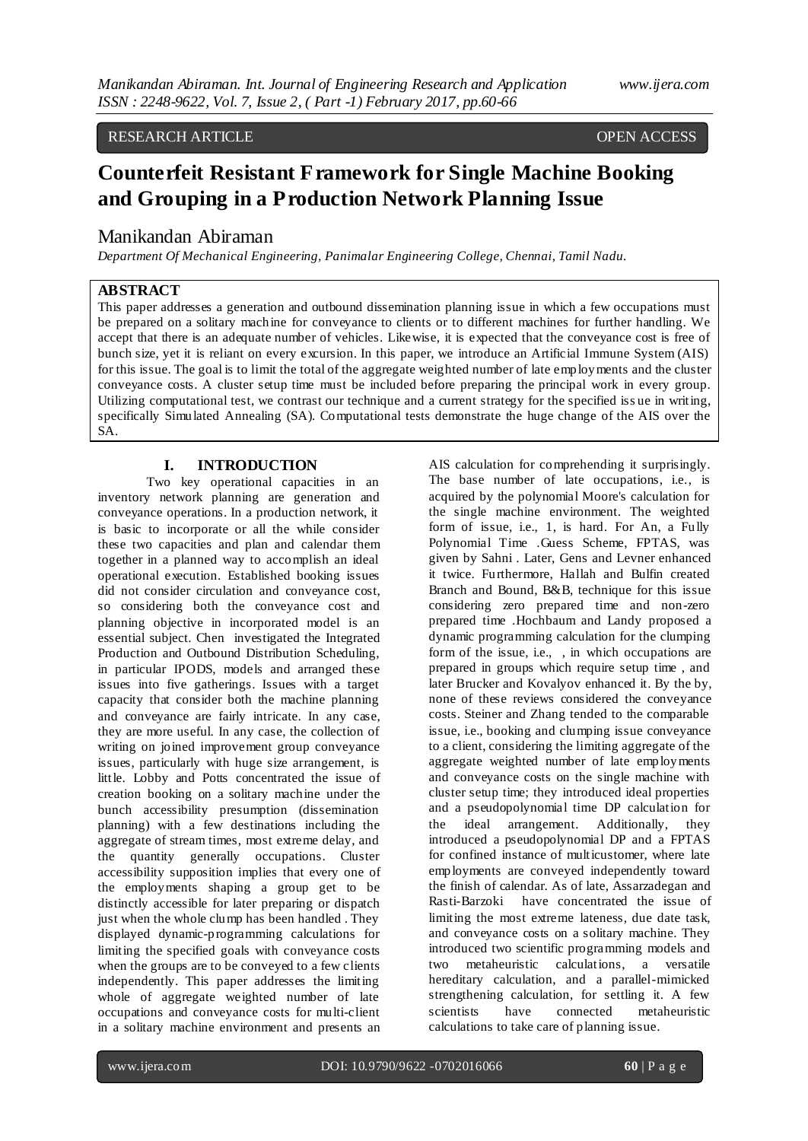#### RESEARCH ARTICLE **CONSERVERS** OPEN ACCESS

# **Counterfeit Resistant Framework for Single Machine Booking and Grouping in a Production Network Planning Issue**

# Manikandan Abiraman

*Department Of Mechanical Engineering, Panimalar Engineering College, Chennai, Tamil Nadu.*

# **ABSTRACT**

This paper addresses a generation and outbound dissemination planning issue in which a few occupations must be prepared on a solitary machine for conveyance to clients or to different machines for further handling. We accept that there is an adequate number of vehicles. Likewise, it is expected that the conveyance cost is free of bunch size, yet it is reliant on every excursion. In this paper, we introduce an Artificial Immune System (AIS) for this issue. The goal is to limit the total of the aggregate weighted number of late employments and the cluster conveyance costs. A cluster setup time must be included before preparing the principal work in every group. Utilizing computational test, we contrast our technique and a current strategy for the specified iss ue in writing, specifically Simulated Annealing (SA). Computational tests demonstrate the huge change of the AIS over the SA.

## **I. INTRODUCTION**

Two key operational capacities in an inventory network planning are generation and conveyance operations. In a production network, it is basic to incorporate or all the while consider these two capacities and plan and calendar them together in a planned way to accomplish an ideal operational execution. Established booking issues did not consider circulation and conveyance cost, so considering both the conveyance cost and planning objective in incorporated model is an essential subject. Chen investigated the Integrated Production and Outbound Distribution Scheduling, in particular IPODS, models and arranged these issues into five gatherings. Issues with a target capacity that consider both the machine planning and conveyance are fairly intricate. In any case, they are more useful. In any case, the collection of writing on joined improvement group conveyance issues, particularly with huge size arrangement, is little. Lobby and Potts concentrated the issue of creation booking on a solitary machine under the bunch accessibility presumption (dissemination planning) with a few destinations including the aggregate of stream times, most extreme delay, and the quantity generally occupations. Cluster accessibility supposition implies that every one of the employments shaping a group get to be distinctly accessible for later preparing or dispatch just when the whole clump has been handled . They displayed dynamic-programming calculations for limiting the specified goals with conveyance costs when the groups are to be conveyed to a few clients independently. This paper addresses the limiting whole of aggregate weighted number of late occupations and conveyance costs for multi-client in a solitary machine environment and presents an

AIS calculation for comprehending it surprisingly. The base number of late occupations, i.e., is acquired by the polynomial Moore's calculation for the single machine environment. The weighted form of issue, i.e., 1, is hard. For An, a Fully Polynomial Time .Guess Scheme, FPTAS, was given by Sahni . Later, Gens and Levner enhanced it twice. Furthermore, Hallah and Bulfin created Branch and Bound, B&B, technique for this issue considering zero prepared time and non-zero prepared time .Hochbaum and Landy proposed a dynamic programming calculation for the clumping form of the issue, i.e., , in which occupations are prepared in groups which require setup time , and later Brucker and Kovalyov enhanced it. By the by, none of these reviews considered the conveyance costs. Steiner and Zhang tended to the comparable issue, i.e., booking and clumping issue conveyance to a client, considering the limiting aggregate of the aggregate weighted number of late employments and conveyance costs on the single machine with cluster setup time; they introduced ideal properties and a pseudopolynomial time DP calculation for the ideal arrangement. Additionally, they introduced a pseudopolynomial DP and a FPTAS for confined instance of multicustomer, where late employments are conveyed independently toward the finish of calendar. As of late, Assarzadegan and Rasti-Barzoki have concentrated the issue of limiting the most extreme lateness, due date task, and conveyance costs on a solitary machine. They introduced two scientific programming models and two metaheuristic calculations, a versatile hereditary calculation, and a parallel-mimicked strengthening calculation, for settling it. A few scientists have connected metaheuristic calculations to take care of planning issue.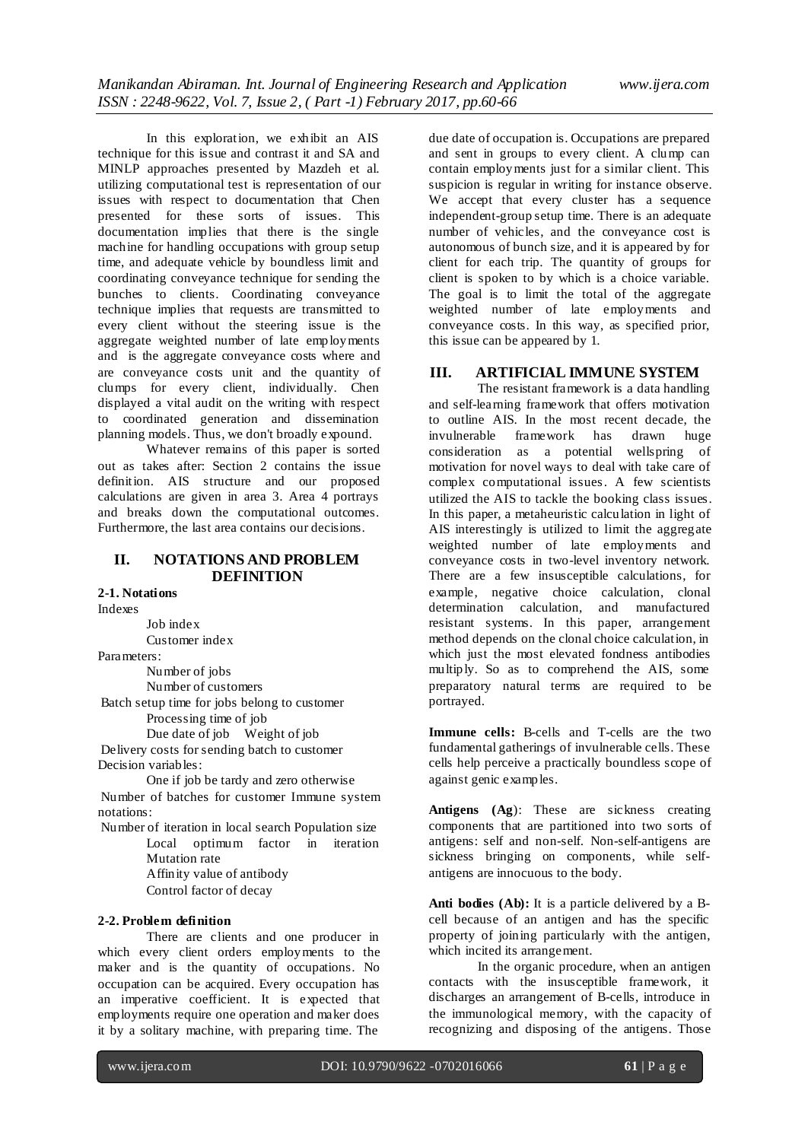In this exploration, we exhibit an AIS technique for this issue and contrast it and SA and MINLP approaches presented by Mazdeh et al. utilizing computational test is representation of our issues with respect to documentation that Chen presented for these sorts of issues. This documentation implies that there is the single machine for handling occupations with group setup time, and adequate vehicle by boundless limit and coordinating conveyance technique for sending the bunches to clients. Coordinating conveyance technique implies that requests are transmitted to every client without the steering issue is the aggregate weighted number of late employments and is the aggregate conveyance costs where and are conveyance costs unit and the quantity of clumps for every client, individually. Chen displayed a vital audit on the writing with respect to coordinated generation and dissemination planning models. Thus, we don't broadly expound.

Whatever remains of this paper is sorted out as takes after: Section 2 contains the issue definition. AIS structure and our proposed calculations are given in area 3. Area 4 portrays and breaks down the computational outcomes. Furthermore, the last area contains our decisions.

# **II. NOTATIONS AND PROBLEM DEFINITION**

**2-1. Notations**

Indexes

Job index Customer index

Parameters:

Number of jobs

Number of customers

Batch setup time for jobs belong to customer

Processing time of job

Due date of job Weight of job

Delivery costs for sending batch to customer Decision variables:

One if job be tardy and zero otherwise Number of batches for customer Immune system notations:

Number of iteration in local search Population size Local optimum factor in iteration Mutation rate Affinity value of antibody Control factor of decay

#### **2-2. Problem definition**

There are clients and one producer in which every client orders employments to the maker and is the quantity of occupations. No occupation can be acquired. Every occupation has an imperative coefficient. It is expected that employments require one operation and maker does it by a solitary machine, with preparing time. The

due date of occupation is. Occupations are prepared and sent in groups to every client. A clump can contain employments just for a similar client. This suspicion is regular in writing for instance observe. We accept that every cluster has a sequence independent-group setup time. There is an adequate number of vehicles, and the conveyance cost is autonomous of bunch size, and it is appeared by for client for each trip. The quantity of groups for client is spoken to by which is a choice variable. The goal is to limit the total of the aggregate weighted number of late employments and conveyance costs. In this way, as specified prior, this issue can be appeared by 1.

# **III. ARTIFICIAL IMMUNE SYSTEM**

The resistant framework is a data handling and self-learning framework that offers motivation to outline AIS. In the most recent decade, the<br>invulnerable framework has drawn huge framework has drawn huge consideration as a potential wellspring of motivation for novel ways to deal with take care of complex computational issues. A few scientists utilized the AIS to tackle the booking class issues. In this paper, a metaheuristic calculation in light of AIS interestingly is utilized to limit the aggregate weighted number of late employments and conveyance costs in two-level inventory network. There are a few insusceptible calculations, for example, negative choice calculation, clonal determination calculation, and manufactured resistant systems. In this paper, arrangement method depends on the clonal choice calculation, in which just the most elevated fondness antibodies multiply. So as to comprehend the AIS, some preparatory natural terms are required to be portrayed.

**Immune cells:** B-cells and T-cells are the two fundamental gatherings of invulnerable cells. These cells help perceive a practically boundless scope of against genic examples.

**Antigens (Ag**): These are sickness creating components that are partitioned into two sorts of antigens: self and non-self. Non-self-antigens are sickness bringing on components, while selfantigens are innocuous to the body.

**Anti bodies (Ab):** It is a particle delivered by a Bcell because of an antigen and has the specific property of joining particularly with the antigen, which incited its arrangement.

In the organic procedure, when an antigen contacts with the insusceptible framework, it discharges an arrangement of B-cells, introduce in the immunological memory, with the capacity of recognizing and disposing of the antigens. Those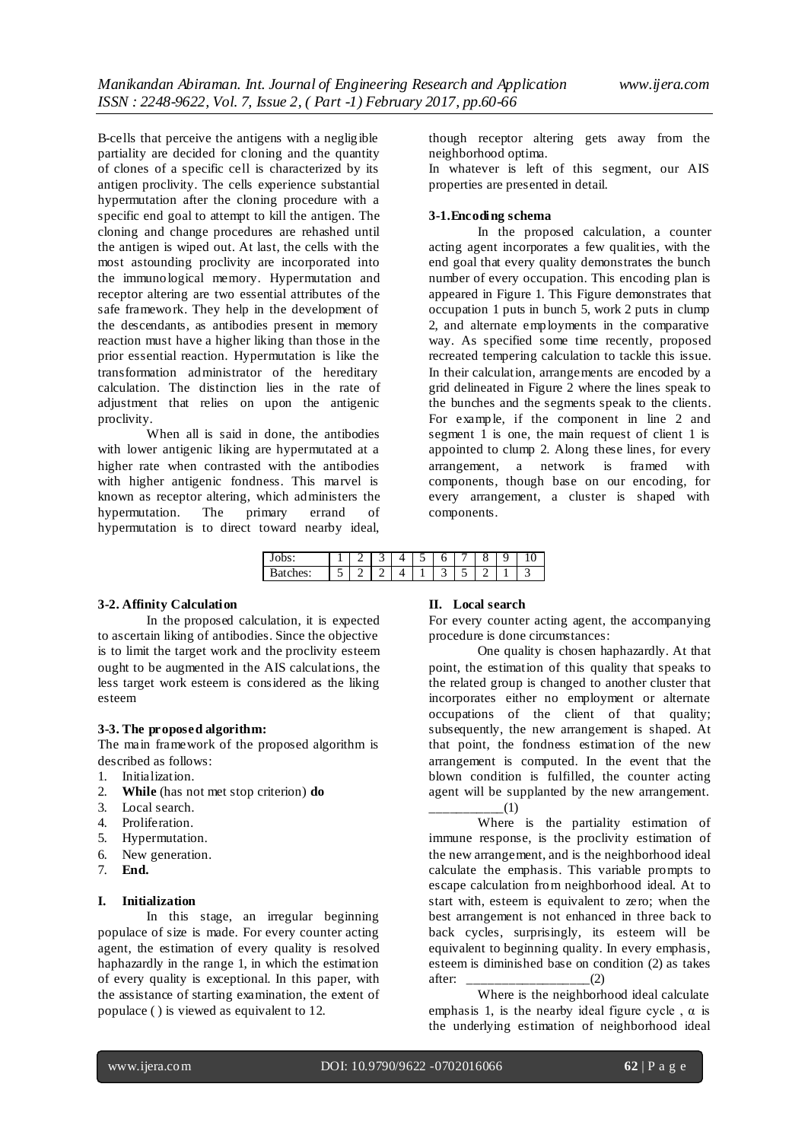B-cells that perceive the antigens with a negligible partiality are decided for cloning and the quantity of clones of a specific cell is characterized by its antigen proclivity. The cells experience substantial hypermutation after the cloning procedure with a specific end goal to attempt to kill the antigen. The cloning and change procedures are rehashed until the antigen is wiped out. At last, the cells with the most astounding proclivity are incorporated into the immunological memory. Hypermutation and receptor altering are two essential attributes of the safe framework. They help in the development of the descendants, as antibodies present in memory reaction must have a higher liking than those in the prior essential reaction. Hypermutation is like the transformation administrator of the hereditary calculation. The distinction lies in the rate of adjustment that relies on upon the antigenic proclivity.

When all is said in done, the antibodies with lower antigenic liking are hypermutated at a higher rate when contrasted with the antibodies with higher antigenic fondness. This marvel is known as receptor altering, which administers the hypermutation. The primary errand of hypermutation is to direct toward nearby ideal,

though receptor altering gets away from the neighborhood optima.

In whatever is left of this segment, our AIS properties are presented in detail.

#### **3-1.Encoding schema**

In the proposed calculation, a counter acting agent incorporates a few qualities, with the end goal that every quality demonstrates the bunch number of every occupation. This encoding plan is appeared in Figure 1. This Figure demonstrates that occupation 1 puts in bunch 5, work 2 puts in clump 2, and alternate employments in the comparative way. As specified some time recently, proposed recreated tempering calculation to tackle this issue. In their calculation, arrangements are encoded by a grid delineated in Figure 2 where the lines speak to the bunches and the segments speak to the clients. For example, if the component in line 2 and segment  $\overline{1}$  is one, the main request of client  $1$  is appointed to clump 2. Along these lines, for every arrangement, a network is framed with components, though base on our encoding, for every arrangement, a cluster is shaped with components.

| v<br>υυ.<br>ັ   |   | - | سه | ٮ | 6 |                               | с |  |
|-----------------|---|---|----|---|---|-------------------------------|---|--|
| -----<br>$\sim$ | - |   |    |   | ب | -<br>$\overline{\phantom{0}}$ |   |  |

### **3-2. Affinity Calculation**

In the proposed calculation, it is expected to ascertain liking of antibodies. Since the objective is to limit the target work and the proclivity esteem ought to be augmented in the AIS calculations, the less target work esteem is considered as the liking esteem

#### **3-3. The proposed algorithm:**

The main framework of the proposed algorithm is described as follows:

- 1. Initialization.
- 2. **While** (has not met stop criterion) **do**
- 3. Local search.
- 4. Proliferation.
- 5. Hypermutation.
- 6. New generation.
- 7. **End.**

#### **I. Initialization**

In this stage, an irregular beginning populace of size is made. For every counter acting agent, the estimation of every quality is resolved haphazardly in the range 1, in which the estimation of every quality is exceptional. In this paper, with the assistance of starting examination, the extent of populace ( ) is viewed as equivalent to 12.

#### **II. Local search**

For every counter acting agent, the accompanying procedure is done circumstances:

One quality is chosen haphazardly. At that point, the estimation of this quality that speaks to the related group is changed to another cluster that incorporates either no employment or alternate occupations of the client of that quality; subsequently, the new arrangement is shaped. At that point, the fondness estimation of the new arrangement is computed. In the event that the blown condition is fulfilled, the counter acting agent will be supplanted by the new arrangement.  $\Box$ (1)

Where is the partiality estimation of immune response, is the proclivity estimation of the new arrangement, and is the neighborhood ideal calculate the emphasis. This variable prompts to escape calculation from neighborhood ideal. At to start with, esteem is equivalent to zero; when the best arrangement is not enhanced in three back to back cycles, surprisingly, its esteem will be equivalent to beginning quality. In every emphasis, esteem is diminished base on condition (2) as takes after: \_\_\_\_\_\_\_\_\_\_\_\_\_\_\_\_\_\_(2)

Where is the neighborhood ideal calculate emphasis 1, is the nearby ideal figure cycle,  $\alpha$  is the underlying estimation of neighborhood ideal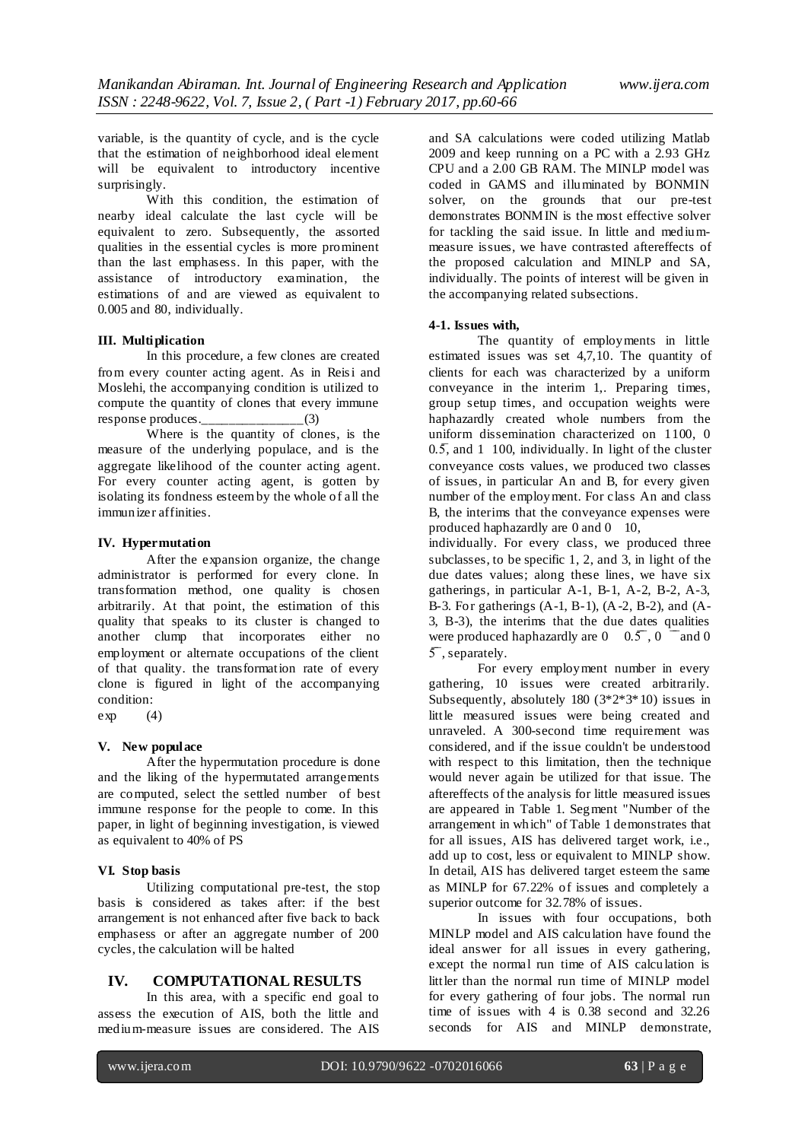variable, is the quantity of cycle, and is the cycle that the estimation of neighborhood ideal element will be equivalent to introductory incentive surprisingly.

With this condition, the estimation of nearby ideal calculate the last cycle will be equivalent to zero. Subsequently, the assorted qualities in the essential cycles is more prominent than the last emphasess. In this paper, with the assistance of introductory examination, the estimations of and are viewed as equivalent to 0.005 and 80, individually.

#### **III. Multiplication**

In this procedure, a few clones are created from every counter acting agent. As in Reisi and Moslehi, the accompanying condition is utilized to compute the quantity of clones that every immune<br>response produces.  $(3)$ response produces.\_\_\_\_\_\_\_\_\_\_\_\_\_\_\_\_\_(3)

Where is the quantity of clones, is the measure of the underlying populace, and is the aggregate likelihood of the counter acting agent. For every counter acting agent, is gotten by isolating its fondness esteem by the whole of all the immunizer affinities.

#### **IV. Hypermutation**

After the expansion organize, the change administrator is performed for every clone. In transformation method, one quality is chosen arbitrarily. At that point, the estimation of this quality that speaks to its cluster is changed to another clump that incorporates either no employment or alternate occupations of the client of that quality. the transformation rate of every clone is figured in light of the accompanying condition:

 $exp$  (4)

#### **V. New populace**

After the hypermutation procedure is done and the liking of the hypermutated arrangements are computed, select the settled number of best immune response for the people to come. In this paper, in light of beginning investigation, is viewed as equivalent to 40% of PS

#### **VI. Stop basis**

Utilizing computational pre-test, the stop basis is considered as takes after: if the best arrangement is not enhanced after five back to back emphasess or after an aggregate number of 200 cycles, the calculation will be halted

#### **IV. COMPUTATIONAL RESULTS**

In this area, with a specific end goal to assess the execution of AIS, both the little and medium-measure issues are considered. The AIS and SA calculations were coded utilizing Matlab 2009 and keep running on a PC with a 2.93 GHz CPU and a 2.00 GB RAM. The MINLP model was coded in GAMS and illuminated by BONMIN solver, on the grounds that our pre-test demonstrates BONMIN is the most effective solver for tackling the said issue. In little and mediummeasure issues, we have contrasted aftereffects of the proposed calculation and MINLP and SA, individually. The points of interest will be given in the accompanying related subsections.

#### **4-1. Issues with,**

The quantity of employments in little estimated issues was set 4,7,10. The quantity of clients for each was characterized by a uniform conveyance in the interim 1,. Preparing times, group setup times, and occupation weights were haphazardly created whole numbers from the uniform dissemination characterized on 1100, 0  $0.5$  and 1 100, individually. In light of the cluster conveyance costs values, we produced two classes of issues, in particular An and B, for every given number of the employment. For class An and class B, the interims that the conveyance expenses were produced haphazardly are 0 and 0 10,

individually. For every class, we produced three subclasses, to be specific 1, 2, and 3, in light of the due dates values; along these lines, we have six gatherings, in particular A-1, B-1, A-2, B-2, A-3, B-3. For gatherings (A-1, B-1), (A-2, B-2), and (A-3, B-3), the interims that the due dates qualities were produced haphazardly are  $0 \quad 0.5$ ,  $0 \quad \text{and} \quad 0$ 5̅, separately.

For every employment number in every gathering, 10 issues were created arbitrarily. Subsequently, absolutely 180 (3\*2\*3\*10) issues in little measured issues were being created and unraveled. A 300-second time requirement was considered, and if the issue couldn't be understood with respect to this limitation, then the technique would never again be utilized for that issue. The aftereffects of the analysis for little measured issues are appeared in Table 1. Segment "Number of the arrangement in which" of Table 1 demonstrates that for all issues, AIS has delivered target work, i.e., add up to cost, less or equivalent to MINLP show. In detail, AIS has delivered target esteem the same as MINLP for 67.22% of issues and completely a superior outcome for 32.78% of issues.

In issues with four occupations, both MINLP model and AIS calculation have found the ideal answer for all issues in every gathering, except the normal run time of AIS calculation is littler than the normal run time of MINLP model for every gathering of four jobs. The normal run time of issues with 4 is 0.38 second and 32.26 seconds for AIS and MINLP demonstrate,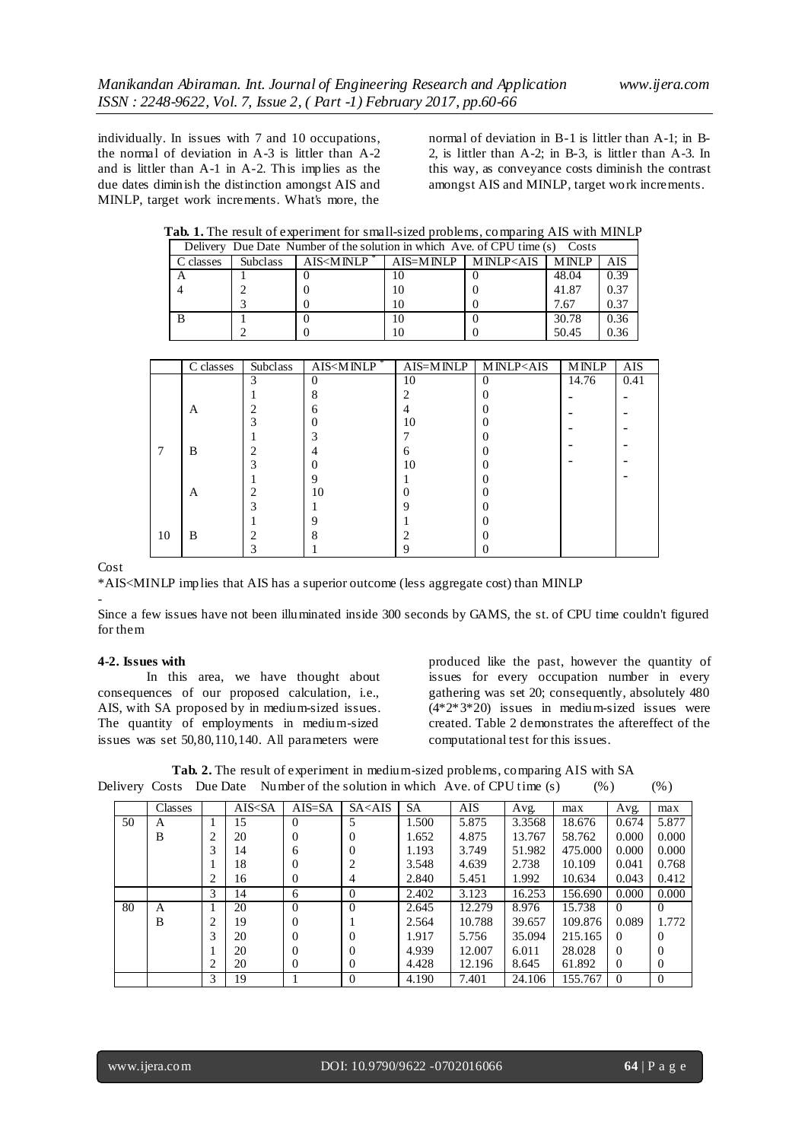individually. In issues with 7 and 10 occupations, the normal of deviation in A-3 is littler than A-2 and is littler than A-1 in A-2. This implies as the due dates diminish the distinction amongst AIS and MINLP, target work increments. What's more, the

normal of deviation in B-1 is littler than A-1; in B-2, is littler than A-2; in B-3, is littler than A-3. In this way, as conveyance costs diminish the contrast amongst AIS and MINLP, target work increments.

| Delivery Due Date Number of the solution in which Ave. of CPU time (s) Costs |                 |                                                                                                                           |  |                                                                               |              |            |  |  |  |  |
|------------------------------------------------------------------------------|-----------------|---------------------------------------------------------------------------------------------------------------------------|--|-------------------------------------------------------------------------------|--------------|------------|--|--|--|--|
| C classes                                                                    | <b>Subclass</b> | AIS <minlp< td=""><td></td><td>AIS=MINLP   MINLP<ais< td=""><td><b>MINLP</b></td><td><b>AIS</b></td></ais<></td></minlp<> |  | AIS=MINLP   MINLP <ais< td=""><td><b>MINLP</b></td><td><b>AIS</b></td></ais<> | <b>MINLP</b> | <b>AIS</b> |  |  |  |  |
|                                                                              |                 |                                                                                                                           |  |                                                                               | 48.04        | 0.39       |  |  |  |  |
|                                                                              |                 |                                                                                                                           |  |                                                                               | 41.87        | 0.37       |  |  |  |  |
|                                                                              |                 |                                                                                                                           |  |                                                                               | 7.67         | 0.37       |  |  |  |  |
|                                                                              |                 |                                                                                                                           |  |                                                                               | 30.78        | 0.36       |  |  |  |  |
|                                                                              |                 |                                                                                                                           |  |                                                                               | 50.45        | 0.36       |  |  |  |  |

|    | C classes | Subclass | AIS <minlp*< td=""><td></td><td><math>AIS=MINLP</math>   MINLP&lt;<math>AIS</math></td><td><b>MINLP</b></td><td>AIS</td></minlp*<> |    | $AIS=MINLP$   MINLP< $AIS$ | <b>MINLP</b> | AIS  |
|----|-----------|----------|------------------------------------------------------------------------------------------------------------------------------------|----|----------------------------|--------------|------|
|    |           | 3        | $\Omega$                                                                                                                           | 10 | $\Omega$                   | 14.76        | 0.41 |
|    |           |          | 8                                                                                                                                  |    |                            |              |      |
|    | A         |          | 6                                                                                                                                  |    |                            |              |      |
|    |           |          |                                                                                                                                    | 10 |                            |              |      |
|    |           |          |                                                                                                                                    |    |                            |              |      |
|    | B         |          | 4                                                                                                                                  | h  |                            |              |      |
|    |           |          |                                                                                                                                    | 10 |                            |              |      |
|    |           |          | 9                                                                                                                                  |    |                            |              |      |
|    | A         |          | 10                                                                                                                                 |    |                            |              |      |
|    |           |          |                                                                                                                                    |    |                            |              |      |
|    |           |          |                                                                                                                                    |    |                            |              |      |
| 10 | B         |          | 8                                                                                                                                  |    |                            |              |      |
|    |           |          |                                                                                                                                    |    |                            |              |      |

Cost

\*AIS<MINLP implies that AIS has a superior outcome (less aggregate cost) than MINLP

-

Since a few issues have not been illuminated inside 300 seconds by GAMS, the st. of CPU time couldn't figured for them

#### **4-2. Issues with**

In this area, we have thought about consequences of our proposed calculation, i.e., AIS, with SA proposed by in medium-sized issues. The quantity of employments in medium-sized issues was set 50,80,110,140. All parameters were

produced like the past, however the quantity of issues for every occupation number in every gathering was set 20; consequently, absolutely 480 (4\*2\*3\*20) issues in medium-sized issues were created. Table 2 demonstrates the aftereffect of the computational test for this issues.

**Tab. 2.** The result of experiment in medium-sized problems, comparing AIS with SA Delivery Costs Due Date Number of the solution in which Ave. of CPU time (s) (%) (%)

|    | Classes |   | AIS <sa< th=""><th><math>AIS = SA</math></th><th><math>S_{A &lt; AIS}</math></th><th><b>SA</b></th><th>AIS</th><th>Avg.</th><th>max</th><th>Avg.</th><th>max</th></sa<> | $AIS = SA$ | $S_{A < AIS}$ | <b>SA</b> | AIS    | Avg.   | max     | Avg.     | max      |
|----|---------|---|-------------------------------------------------------------------------------------------------------------------------------------------------------------------------|------------|---------------|-----------|--------|--------|---------|----------|----------|
| 50 | A       |   | 15                                                                                                                                                                      | $\Omega$   |               | 1.500     | 5.875  | 3.3568 | 18.676  | 0.674    | 5.877    |
|    | B       | 2 | 20                                                                                                                                                                      | 0          | 0             | 1.652     | 4.875  | 13.767 | 58.762  | 0.000    | 0.000    |
|    |         | 3 | 14                                                                                                                                                                      | 6          | 0             | 1.193     | 3.749  | 51.982 | 475.000 | 0.000    | 0.000    |
|    |         |   | 18                                                                                                                                                                      | 0          |               | 3.548     | 4.639  | 2.738  | 10.109  | 0.041    | 0.768    |
|    |         | 2 | 16                                                                                                                                                                      | $\Omega$   | 4             | 2.840     | 5.451  | 1.992  | 10.634  | 0.043    | 0.412    |
|    |         | 3 | 14                                                                                                                                                                      | 6          | 0             | 2.402     | 3.123  | 16.253 | 156.690 | 0.000    | 0.000    |
| 80 | A       |   | 20                                                                                                                                                                      | $\Omega$   | 0             | 2.645     | 12.279 | 8.976  | 15.738  | $\Omega$ | $\Omega$ |
|    | B       | ∍ | 19                                                                                                                                                                      | 0          |               | 2.564     | 10.788 | 39.657 | 109.876 | 0.089    | 1.772    |
|    |         | 3 | 20                                                                                                                                                                      | 0          | 0             | 1.917     | 5.756  | 35.094 | 215.165 | $\Omega$ | $\Omega$ |
|    |         |   | 20                                                                                                                                                                      | 0          | 0             | 4.939     | 12.007 | 6.011  | 28.028  | $\Omega$ | $\Omega$ |
|    |         |   | 20                                                                                                                                                                      | $\Omega$   | O             | 4.428     | 12.196 | 8.645  | 61.892  | $\Omega$ | $\Omega$ |
|    |         | 3 | 19                                                                                                                                                                      |            |               | 4.190     | 7.401  | 24.106 | 155.767 | $\Omega$ | $\theta$ |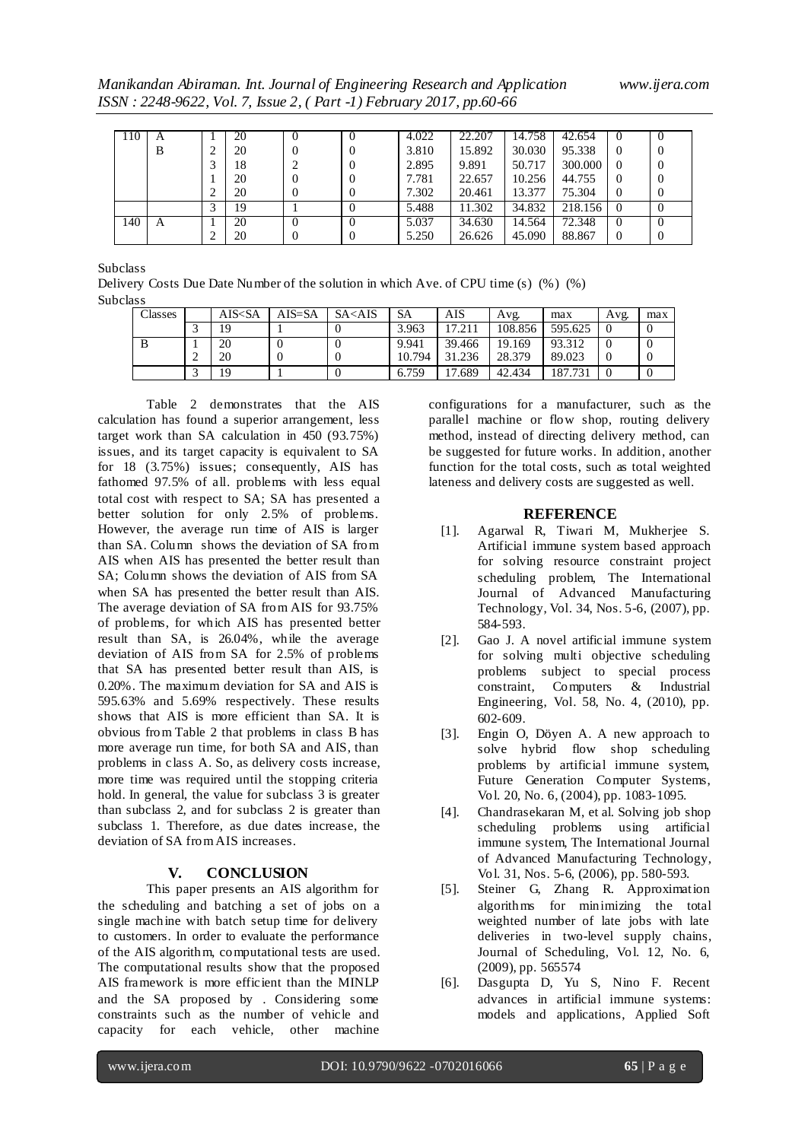*Manikandan Abiraman. Int. Journal of Engineering Research and Application www.ijera.com ISSN : 2248-9622, Vol. 7, Issue 2, ( Part -1) February 2017, pp.60-66*

| 110 | A |   | 20 |          | $\theta$ | 4.022 | 22.207 | 14.758 | 42.654  | O        |          |
|-----|---|---|----|----------|----------|-------|--------|--------|---------|----------|----------|
|     | B | ∠ | 20 | $\theta$ | $\theta$ | 3.810 | 15.892 | 30.030 | 95.338  | 0        | $\theta$ |
|     |   |   | 18 |          | $\theta$ | 2.895 | 9.891  | 50.717 | 300,000 | $\theta$ | $\theta$ |
|     |   |   | 20 | $\theta$ | $\theta$ | 7.781 | 22.657 | 10.256 | 44.755  | $\theta$ |          |
|     |   | ∠ | 20 | $\theta$ | $\theta$ | 7.302 | 20.461 | 13.377 | 75.304  | $\Omega$ |          |
|     |   |   | 19 |          | $\theta$ | 5.488 | 11.302 | 34.832 | 218.156 | $\theta$ |          |
| 140 | A |   | 20 | O        | $\theta$ | 5.037 | 34.630 | 14.564 | 72.348  | O        |          |
|     |   | ∠ | 20 | $\theta$ | $\theta$ | 5.250 | 26.626 | 45.090 | 88.867  | $\theta$ |          |

Subclass

Delivery Costs Due Date Number of the solution in which Ave. of CPU time (s) (%) (%) Subclass

| Classes | AIS <sa< th=""><th>AIS=SA</th><th><math>S_{A &lt; AIS}</math></th><th>SА</th><th>AIS</th><th>Avg.</th><th>max</th><th>Avg.</th><th>max</th></sa<> | AIS=SA | $S_{A < AIS}$ | SА     | AIS    | Avg.    | max     | Avg. | max |
|---------|---------------------------------------------------------------------------------------------------------------------------------------------------|--------|---------------|--------|--------|---------|---------|------|-----|
|         | 19                                                                                                                                                |        |               | 3.963  | 17.211 | 108.856 | 595.625 |      |     |
|         | 20                                                                                                                                                |        |               | 9.941  | 39.466 | 19.169  | 93.312  |      |     |
|         | 20                                                                                                                                                |        |               | 10.794 | 31.236 | 28.379  | 89.023  |      |     |
|         | 19                                                                                                                                                |        |               | 6.759  | 17.689 | 42.434  | 187.731 |      |     |

Table 2 demonstrates that the AIS calculation has found a superior arrangement, less target work than SA calculation in 450 (93.75%) issues, and its target capacity is equivalent to SA for 18 (3.75%) issues; consequently, AIS has fathomed 97.5% of all. problems with less equal total cost with respect to SA; SA has presented a better solution for only 2.5% of problems. However, the average run time of AIS is larger than SA. Column shows the deviation of SA from AIS when AIS has presented the better result than SA; Column shows the deviation of AIS from SA when SA has presented the better result than AIS. The average deviation of SA from AIS for 93.75% of problems, for which AIS has presented better result than SA, is 26.04%, while the average deviation of AIS from SA for 2.5% of problems that SA has presented better result than AIS, is 0.20%. The maximum deviation for SA and AIS is 595.63% and 5.69% respectively. These results shows that AIS is more efficient than SA. It is obvious from Table 2 that problems in class B has more average run time, for both SA and AIS, than problems in class A. So, as delivery costs increase, more time was required until the stopping criteria hold. In general, the value for subclass 3 is greater than subclass 2, and for subclass 2 is greater than subclass 1. Therefore, as due dates increase, the deviation of SA from AIS increases.

#### **V. CONCLUSION**

This paper presents an AIS algorithm for the scheduling and batching a set of jobs on a single machine with batch setup time for delivery to customers. In order to evaluate the performance of the AIS algorithm, computational tests are used. The computational results show that the proposed AIS framework is more efficient than the MINLP and the SA proposed by . Considering some constraints such as the number of vehicle and capacity for each vehicle, other machine

configurations for a manufacturer, such as the parallel machine or flow shop, routing delivery method, instead of directing delivery method, can be suggested for future works. In addition, another function for the total costs, such as total weighted lateness and delivery costs are suggested as well.

#### **REFERENCE**

- [1]. Agarwal R, Tiwari M, Mukherjee S. Artificial immune system based approach for solving resource constraint project scheduling problem, The International Journal of Advanced Manufacturing Technology, Vol. 34, Nos. 5-6, (2007), pp. 584-593.
- [2]. Gao J. A novel artificial immune system for solving multi objective scheduling problems subject to special process constraint, Computers & Industrial Engineering, Vol. 58, No. 4, (2010), pp. 602-609.
- [3]. Engin O, Döyen A. A new approach to solve hybrid flow shop scheduling problems by artificial immune system, Future Generation Computer Systems, Vol. 20, No. 6, (2004), pp. 1083-1095.
- [4]. Chandrasekaran M, et al. Solving job shop scheduling problems using artificial immune system, The International Journal of Advanced Manufacturing Technology, Vol. 31, Nos. 5-6, (2006), pp. 580-593.
- [5]. Steiner G, Zhang R. Approximation algorithms for minimizing the total weighted number of late jobs with late deliveries in two-level supply chains, Journal of Scheduling, Vol. 12, No. 6, (2009), pp. 565574
- [6]. Dasgupta D, Yu S, Nino F. Recent advances in artificial immune systems: models and applications, Applied Soft